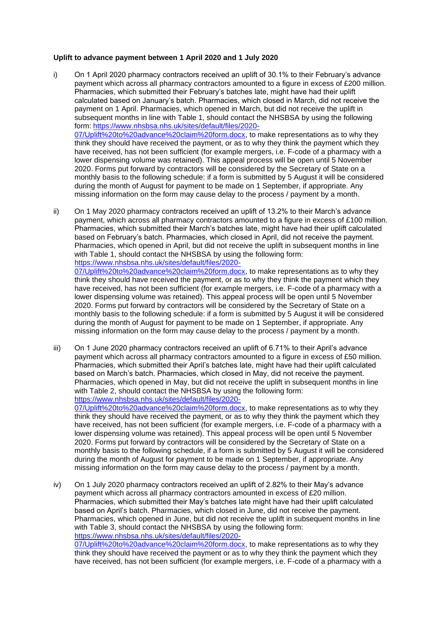## **Uplift to advance payment between 1 April 2020 and 1 July 2020**

i) On 1 April 2020 pharmacy contractors received an uplift of 30.1% to their February's advance payment which across all pharmacy contractors amounted to a figure in excess of £200 million. Pharmacies, which submitted their February's batches late, might have had their uplift calculated based on January's batch. Pharmacies, which closed in March, did not receive the payment on 1 April. Pharmacies, which opened in March, but did not receive the uplift in subsequent months in line with Table 1, should contact the NHSBSA by using the following form: [https://www.nhsbsa.nhs.uk/sites/default/files/2020-](https://www.nhsbsa.nhs.uk/sites/default/files/2020-07/Uplift%20to%20advance%20claim%20form.docx) [07/Uplift%20to%20advance%20claim%20form.docx,](https://www.nhsbsa.nhs.uk/sites/default/files/2020-07/Uplift%20to%20advance%20claim%20form.docx) to make representations as to why they think they should have received the payment, or as to why they think the payment which they have received, has not been sufficient (for example mergers, i.e. F-code of a pharmacy with a lower dispensing volume was retained). This appeal process will be open until 5 November 2020. Forms put forward by contractors will be considered by the Secretary of State on a monthly basis to the following schedule: if a form is submitted by 5 August it will be considered during the month of August for payment to be made on 1 September, if appropriate. Any

missing information on the form may cause delay to the process / payment by a month.

ii) On 1 May 2020 pharmacy contractors received an uplift of 13.2% to their March's advance payment, which across all pharmacy contractors amounted to a figure in excess of £100 million. Pharmacies, which submitted their March's batches late, might have had their uplift calculated based on February's batch. Pharmacies, which closed in April, did not receive the payment. Pharmacies, which opened in April, but did not receive the uplift in subsequent months in line with Table 1, should contact the NHSBSA by using the following form: [https://www.nhsbsa.nhs.uk/sites/default/files/2020-](https://www.nhsbsa.nhs.uk/sites/default/files/2020-07/Uplift%20to%20advance%20claim%20form.docx) [07/Uplift%20to%20advance%20claim%20form.docx,](https://www.nhsbsa.nhs.uk/sites/default/files/2020-07/Uplift%20to%20advance%20claim%20form.docx) to make representations as to why they think they should have received the payment, or as to why they think the payment which they have received, has not been sufficient (for example mergers, i.e. F-code of a pharmacy with a

lower dispensing volume was retained). This appeal process will be open until 5 November 2020. Forms put forward by contractors will be considered by the Secretary of State on a monthly basis to the following schedule: if a form is submitted by 5 August it will be considered during the month of August for payment to be made on 1 September, if appropriate. Any missing information on the form may cause delay to the process / payment by a month.

iii) On 1 June 2020 pharmacy contractors received an uplift of 6.71% to their April's advance payment which across all pharmacy contractors amounted to a figure in excess of £50 million. Pharmacies, which submitted their April's batches late, might have had their uplift calculated based on March's batch. Pharmacies, which closed in May, did not receive the payment. Pharmacies, which opened in May, but did not receive the uplift in subsequent months in line with Table 2, should contact the NHSBSA by using the following form: [https://www.nhsbsa.nhs.uk/sites/default/files/2020-](https://www.nhsbsa.nhs.uk/sites/default/files/2020-07/Uplift%20to%20advance%20claim%20form.docx)

[07/Uplift%20to%20advance%20claim%20form.docx,](https://www.nhsbsa.nhs.uk/sites/default/files/2020-07/Uplift%20to%20advance%20claim%20form.docx) to make representations as to why they think they should have received the payment, or as to why they think the payment which they have received, has not been sufficient (for example mergers, i.e. F-code of a pharmacy with a lower dispensing volume was retained). This appeal process will be open until 5 November 2020. Forms put forward by contractors will be considered by the Secretary of State on a monthly basis to the following schedule, if a form is submitted by 5 August it will be considered during the month of August for payment to be made on 1 September, if appropriate. Any missing information on the form may cause delay to the process / payment by a month.

iv) On 1 July 2020 pharmacy contractors received an uplift of 2.82% to their May's advance payment which across all pharmacy contractors amounted in excess of £20 million. Pharmacies, which submitted their May's batches late might have had their uplift calculated based on April's batch. Pharmacies, which closed in June, did not receive the payment. Pharmacies, which opened in June, but did not receive the uplift in subsequent months in line with Table 3, should contact the NHSBSA by using the following form: [https://www.nhsbsa.nhs.uk/sites/default/files/2020-](https://www.nhsbsa.nhs.uk/sites/default/files/2020-07/Uplift%20to%20advance%20claim%20form.docx) [07/Uplift%20to%20advance%20claim%20form.docx,](https://www.nhsbsa.nhs.uk/sites/default/files/2020-07/Uplift%20to%20advance%20claim%20form.docx) to make representations as to why they

think they should have received the payment or as to why they think the payment which they have received, has not been sufficient (for example mergers, i.e. F-code of a pharmacy with a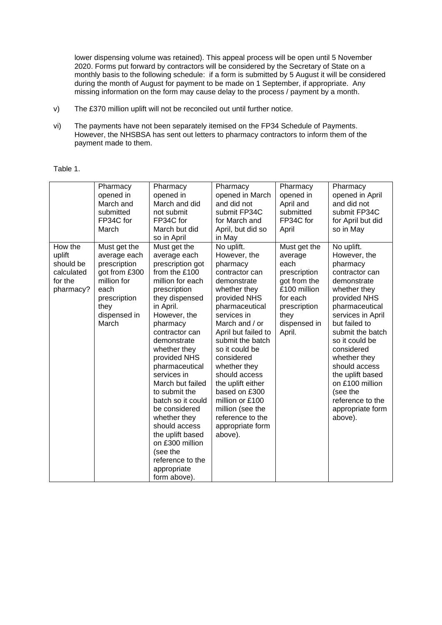lower dispensing volume was retained). This appeal process will be open until 5 November 2020. Forms put forward by contractors will be considered by the Secretary of State on a monthly basis to the following schedule: if a form is submitted by 5 August it will be considered during the month of August for payment to be made on 1 September, if appropriate. Any missing information on the form may cause delay to the process / payment by a month.

- v) The £370 million uplift will not be reconciled out until further notice.
- vi) The payments have not been separately itemised on the FP34 Schedule of Payments. However, the NHSBSA has sent out letters to pharmacy contractors to inform them of the payment made to them.

## Table 1.

|                                                                      | Pharmacy<br>opened in<br>March and<br>submitted<br>FP34C for<br>March                                                                 | Pharmacy<br>opened in<br>March and did<br>not submit<br>FP34C for<br>March but did<br>so in April                                                                                                                                                                                                                                                                                                                                                                                    | Pharmacy<br>opened in March<br>and did not<br>submit FP34C<br>for March and<br>April, but did so<br>in May                                                                                                                                                                                                                                                                                             | Pharmacy<br>opened in<br>April and<br>submitted<br>FP34C for<br>April                                                                         | Pharmacy<br>opened in April<br>and did not<br>submit FP34C<br>for April but did<br>so in May                                                                                                                                                                                                                                                               |
|----------------------------------------------------------------------|---------------------------------------------------------------------------------------------------------------------------------------|--------------------------------------------------------------------------------------------------------------------------------------------------------------------------------------------------------------------------------------------------------------------------------------------------------------------------------------------------------------------------------------------------------------------------------------------------------------------------------------|--------------------------------------------------------------------------------------------------------------------------------------------------------------------------------------------------------------------------------------------------------------------------------------------------------------------------------------------------------------------------------------------------------|-----------------------------------------------------------------------------------------------------------------------------------------------|------------------------------------------------------------------------------------------------------------------------------------------------------------------------------------------------------------------------------------------------------------------------------------------------------------------------------------------------------------|
| How the<br>uplift<br>should be<br>calculated<br>for the<br>pharmacy? | Must get the<br>average each<br>prescription<br>got from £300<br>million for<br>each<br>prescription<br>they<br>dispensed in<br>March | Must get the<br>average each<br>prescription got<br>from the £100<br>million for each<br>prescription<br>they dispensed<br>in April.<br>However, the<br>pharmacy<br>contractor can<br>demonstrate<br>whether they<br>provided NHS<br>pharmaceutical<br>services in<br>March but failed<br>to submit the<br>batch so it could<br>be considered<br>whether they<br>should access<br>the uplift based<br>on £300 million<br>(see the<br>reference to the<br>appropriate<br>form above). | No uplift.<br>However, the<br>pharmacy<br>contractor can<br>demonstrate<br>whether they<br>provided NHS<br>pharmaceutical<br>services in<br>March and / or<br>April but failed to<br>submit the batch<br>so it could be<br>considered<br>whether they<br>should access<br>the uplift either<br>based on £300<br>million or £100<br>million (see the<br>reference to the<br>appropriate form<br>above). | Must get the<br>average<br>each<br>prescription<br>got from the<br>£100 million<br>for each<br>prescription<br>they<br>dispensed in<br>April. | No uplift.<br>However, the<br>pharmacy<br>contractor can<br>demonstrate<br>whether they<br>provided NHS<br>pharmaceutical<br>services in April<br>but failed to<br>submit the batch<br>so it could be<br>considered<br>whether they<br>should access<br>the uplift based<br>on £100 million<br>(see the<br>reference to the<br>appropriate form<br>above). |